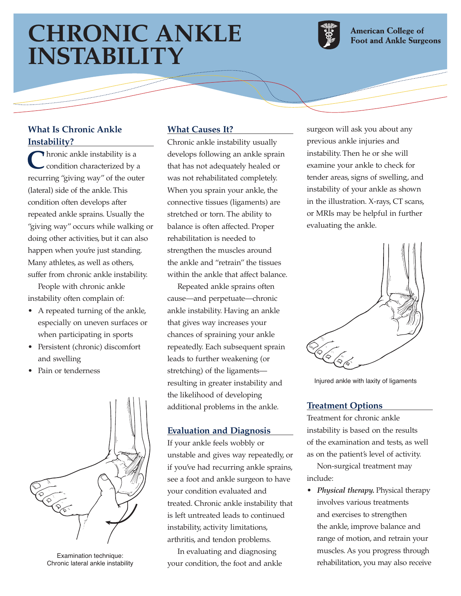# **CHRONIC ANKLE INSTABILITY**



**American College of Foot and Ankle Surgeons** 

#### **What Is Chronic Ankle Instability?**

**C**hronic ankle instability is a condition characterized by a recurring "giving way" of the outer (lateral) side of the ankle. This condition often develops after repeated ankle sprains. Usually the "giving way" occurs while walking or doing other activities, but it can also happen when you're just standing. Many athletes, as well as others, suffer from chronic ankle instability.

People with chronic ankle instability often complain of:

- A repeated turning of the ankle, especially on uneven surfaces or when participating in sports
- Persistent (chronic) discomfort and swelling
- Pain or tenderness



Examination technique: Chronic lateral ankle instability

## **What Causes It?**

Chronic ankle instability usually develops following an ankle sprain that has not adequately healed or was not rehabilitated completely. When you sprain your ankle, the connective tissues (ligaments) are stretched or torn. The ability to balance is often affected. Proper rehabilitation is needed to strengthen the muscles around the ankle and "retrain" the tissues within the ankle that affect balance.

Repeated ankle sprains often cause—and perpetuate—chronic ankle instability. Having an ankle that gives way increases your chances of spraining your ankle repeatedly. Each subsequent sprain leads to further weakening (or stretching) of the ligaments resulting in greater instability and the likelihood of developing additional problems in the ankle.

## **Evaluation and Diagnosis**

If your ankle feels wobbly or unstable and gives way repeatedly, or if you've had recurring ankle sprains, see a foot and ankle surgeon to have your condition evaluated and treated. Chronic ankle instability that is left untreated leads to continued instability, activity limitations, arthritis, and tendon problems.

In evaluating and diagnosing your condition, the foot and ankle

surgeon will ask you about any previous ankle injuries and instability. Then he or she will examine your ankle to check for tender areas, signs of swelling, and instability of your ankle as shown in the illustration. X-rays, CT scans, or MRIs may be helpful in further evaluating the ankle.



Injured ankle with laxity of ligaments

#### **Treatment Options**

Treatment for chronic ankle instability is based on the results of the examination and tests, as well as on the patient's level of activity.

Non-surgical treatment may include:

• *Physical therapy.* Physical therapy involves various treatments and exercises to strengthen the ankle, improve balance and range of motion, and retrain your muscles. As you progress through rehabilitation, you may also receive